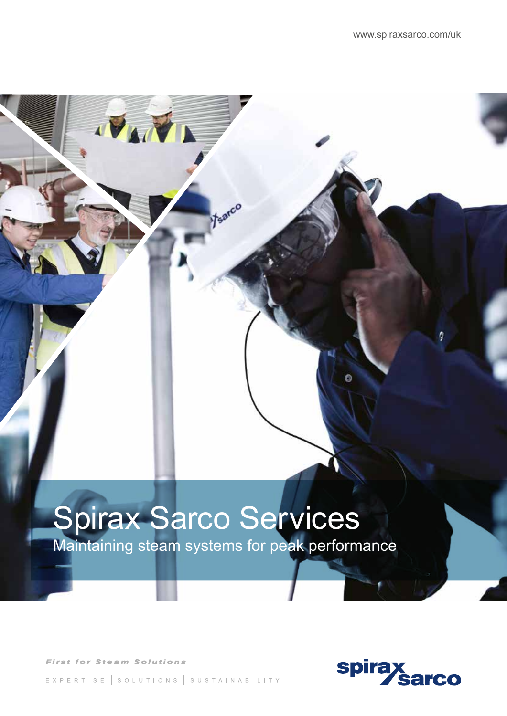# Spirax Sarco Services

**Maintaining steam systems for peak performance** 

Fearco

**First for Steam Solutions** 

EXPERTISE SOLUTIONS SUSTAINABILITY

**IVANTA** 

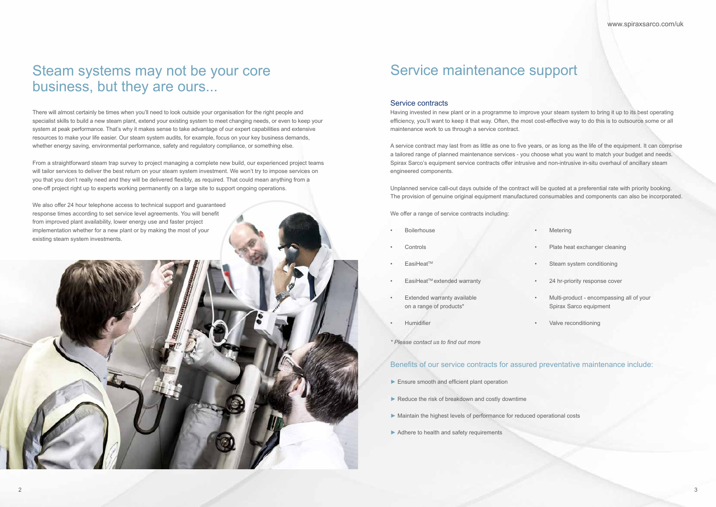### Steam systems may not be your core business, but they are ours...

There will almost certainly be times when you'll need to look outside your organisation for the right people and specialist skills to build a new steam plant, extend your existing system to meet changing needs, or even to keep your system at peak performance. That's why it makes sense to take advantage of our expert capabilities and extensive resources to make your life easier. Our steam system audits, for example, focus on your key business demands, whether energy saving, environmental performance, safety and regulatory compliance, or something else.

From a straightforward steam trap survey to project managing a complete new build, our experienced project teams will tailor services to deliver the best return on your steam system investment. We won't try to impose services on you that you don't really need and they will be delivered flexibly, as required. That could mean anything from a one-off project right up to experts working permanently on a large site to support ongoing operations.

We also offer 24 hour telephone access to technical support and guaranteed response times according to set service level agreements. You will benefit from improved plant availability, lower energy use and faster project implementation whether for a new plant or by making the most of your existing steam system investments.

#### Service contracts

- ► Ensure smooth and efficient plant operation
- $\blacktriangleright$  Reduce the risk of breakdown and costly downtime
- ► Maintain the highest levels of performance for reduced operational costs
- ► Adhere to health and safety requirements
- **Boilerhouse**
- **Controls**
- EasiHeatTM
- EasiHeat<sup>™</sup> extended warranty
- **Extended warranty available** on a range of products\*
- **Humidifier**
- *\* Please contact us to find out more*

Having invested in new plant or in a programme to improve your steam system to bring it up to its best operating efficiency, you'll want to keep it that way. Often, the most cost-effective way to do this is to outsource some or all maintenance work to us through a service contract.

A service contract may last from as little as one to five years, or as long as the life of the equipment. It can comprise a tailored range of planned maintenance services - you choose what you want to match your budget and needs. Spirax Sarco's equipment service contracts offer intrusive and non-intrusive in-situ overhaul of ancillary steam engineered components.

Unplanned service call-out days outside of the contract will be quoted at a preferential rate with priority booking. The provision of genuine original equipment manufactured consumables and components can also be incorporated.

We offer a range of service contracts including:

• Multi-product - encompassing all of your Spirax Sarco equipment

• Valve reconditioning

### Benefits of our service contracts for assured preventative maintenance include:

### Service maintenance support

**Metering** 

Plate heat exchanger cleaning

Steam system conditioning

24 hr-priority response cover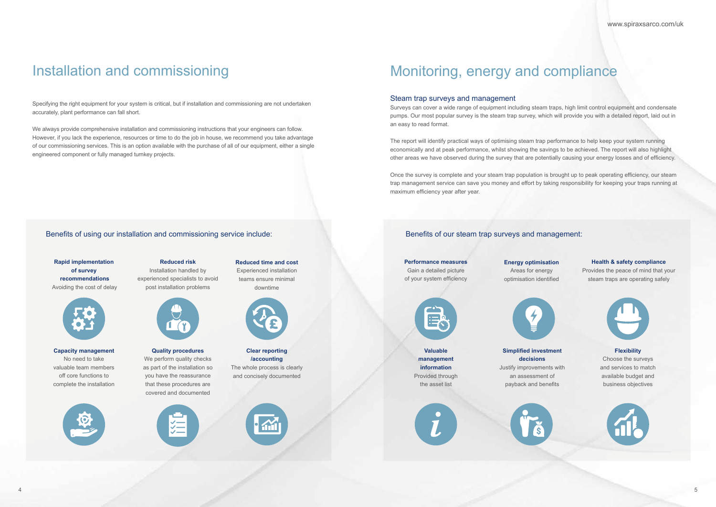## Monitoring, energy and compliance

#### Steam trap surveys and management

Surveys can cover a wide range of equipment including steam traps, high limit control equipment and condensate pumps. Our most popular survey is the steam trap survey, which will provide you with a detailed report, laid out in an easy to read format.

The report will identify practical ways of optimising steam trap performance to help keep your system running economically and at peak performance, whilst showing the savings to be achieved. The report will also highlight other areas we have observed during the survey that are potentially causing your energy losses and of efficiency.

Once the survey is complete and your steam trap population is brought up to peak operating efficiency, our steam trap management service can save you money and effort by taking responsibility for keeping your traps running at maximum efficiency year after year.

**Performance measures** 

Gain a detailed picture of your system efficiency

> **Valuable management information**  Provided through the asset list



#### **Energy optimisation**

Areas for energy optimisation identified



**Simplified investment decisions**  Justify improvements with

an assessment of payback and benefits



#### **Health & safety compliance**

Provides the peace of mind that your steam traps are operating safely



#### **Flexibility**

Choose the surveys and services to match available budget and business objectives



#### Benefits of our steam trap surveys and management:

### Installation and commissioning

Specifying the right equipment for your system is critical, but if installation and commissioning are not undertaken accurately, plant performance can fall short.

We always provide comprehensive installation and commissioning instructions that your engineers can follow. However, if you lack the experience, resources or time to do the job in house, we recommend you take advantage of our commissioning services. This is an option available with the purchase of all of our equipment, either a single engineered component or fully managed turnkey projects.

**Rapid implementation of survey recommendations** Avoiding the cost of delay

**Reduced risk** Installation handled by experienced specialists to avoid post installation problems

**Reduced time and cost**  Experienced installation teams ensure minimal downtime





**Capacity management** No need to take valuable team members off core functions to complete the installation





**Quality procedures** We perform quality checks as part of the installation so you have the reassurance that these procedures are covered and documented



#### **Clear reporting /accounting**

The whole process is clearly and concisely documented



#### Benefits of using our installation and commissioning service include: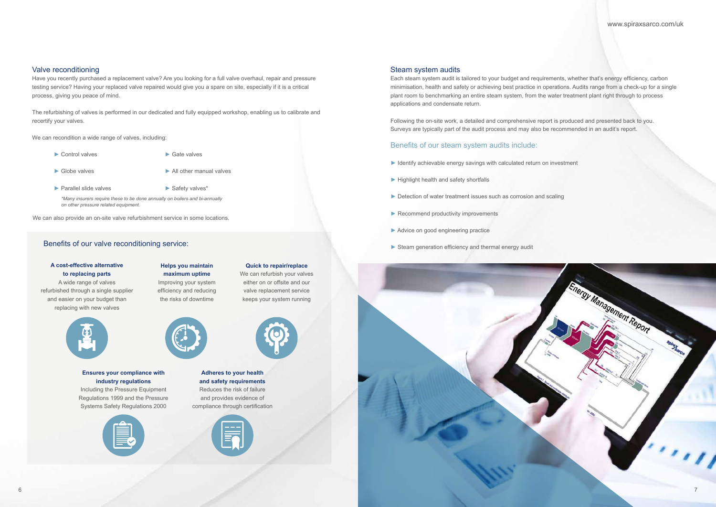

www.spiraxsarco.com/uk

#### Steam system audits

Each steam system audit is tailored to your budget and requirements, whether that's energy efficiency, carbon minimisation, health and safety or achieving best practice in operations. Audits range from a check-up for a single plant room to benchmarking an entire steam system, from the water treatment plant right through to process applications and condensate return.

- ► Identify achievable energy savings with calculated return on investment
- ► Highlight health and safety shortfalls
- ► Detection of water treatment issues such as corrosion and scaling
- ▶ Recommend productivity improvements
- ► Advice on good engineering practice
- ► Steam generation efficiency and thermal energy audit

Following the on-site work, a detailed and comprehensive report is produced and presented back to you. Surveys are typically part of the audit process and may also be recommended in an audit's report.

#### Benefits of our steam system audits include:

#### Valve reconditioning

Have you recently purchased a replacement valve? Are you looking for a full valve overhaul, repair and pressure testing service? Having your replaced valve repaired would give you a spare on site, especially if it is a critical process, giving you peace of mind.

The refurbishing of valves is performed in our dedicated and fully equipped workshop, enabling us to calibrate and recertify your valves.

We can recondition a wide range of valves, including:

#### **A cost-effective alternative to replacing parts**

A wide range of valves refurbished through a single supplier and easier on your budget than replacing with new valves





#### **Ensures your compliance with industry regulations**

Including the Pressure Equipment Regulations 1999 and the Pressure Systems Safety Regulations 2000



**Helps you maintain** 



#### **maximum uptime**  Improving your system efficiency and reducing

the risks of downtime

- ► Control valves
- ► Globe valves
- ► All other manual valves
- ► Parallel slide valves
- ► Safety valves\*

#### **Adheres to your health and safety requirements**  Reduces the risk of failure and provides evidence of compliance through certification

**Quick to repair/replace**  We can refurbish your valves either on or offsite and our valve replacement service keeps your system running

**£**



*\*Many insurers require these to be done annually on boilers and bi-annually on other pressure related equipment.* 

We can also provide an on-site valve refurbishment service in some locations.

#### Benefits of our valve reconditioning service:

► Gate valves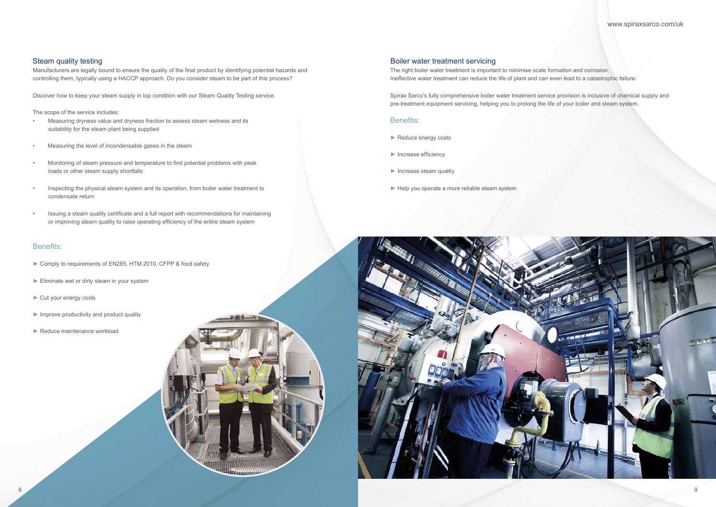www.spiraxsarco.com/uk

The right boiler water treatment is important to minimise scale formation and corrosion. Ineffective water treatment can reduce the life of plant and can even lead to a catastrophic failure.

Spirax Sarco's fully comprehensive boiler water treatment service provision is inclusive of chemical supply and pre-treatment equipment servicing, helping you to prolong the life of your boiler and steam system.

#### Benefits:

- ► Reduce energy costs
- ► Increase efficiency
- ► Increase steam quality
- ► Help you operate a more reliable steam system



Manufacturers are legally bound to ensure the quality of the final product by identifying potential hazards and controlling them, typically using a HACCP approach. Do you consider steam to be part of this process?

Discover how to keep your steam supply in top condition with our Steam Quality Testing service.

The scope of the service includes:

- Measuring dryness value and dryness fraction to assess steam wetness and its suitability for the steam plant being supplied
- Measuring the level of incondensable gases in the steam
- Monitoring of steam pressure and temperature to find potential problems with peak loads or other steam supply shortfalls
- Inspecting the physical steam system and its operation, from boiler water treatment to condensate return
- Issuing a steam quality certificate and a full report with recommendations for maintaining or improving steam quality to raise operating efficiency of the entire steam system

#### Benefits:

- ► Comply to requirements of EN285, HTM 2010, CFPP & food safety
- ► Eliminate wet or dirty steam in your system
- ► Cut your energy costs
- ► Improve productivity and product quality
- ► Reduce maintenance workload



#### Steam quality testing **Steam quality** testing and the structure of the structure of the Boiler water treatment servicing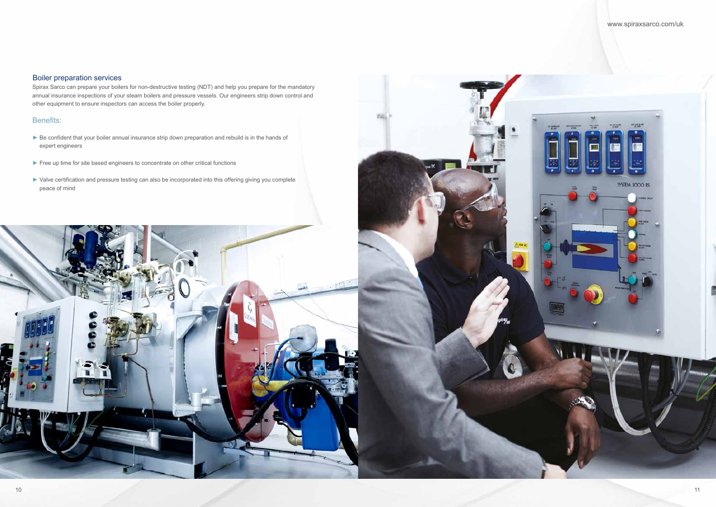#### www.spiraxsarco.com/uk

#### Boiler preparation services

Spirax Sarco can prepare your boilers for non-destructive testing (NDT) and help you prepare for the mandatory annual insurance inspections of your steam boilers and pressure vessels. Our engineers strip down control and other equipment to ensure inspectors can access the boiler properly.

- ► Be confident that your boiler annual insurance strip down preparation and rebuild is in the hands of expert engineers
- ► Free up time for site based engineers to concentrate on other critical functions
- ► Valve certification and pressure testing can also be incorporated into this offering giving you complete peace of mind





#### Benefits: